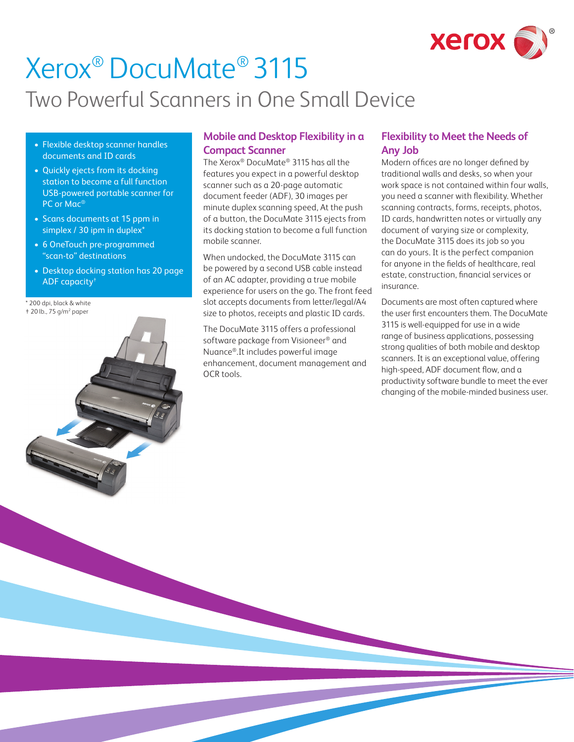

# Xerox® DocuMate® 3115 Two Powerful Scanners in One Small Device

- Flexible desktop scanner handles documents and ID cards
- Quickly ejects from its docking station to become a full function USB-powered portable scanner for PC or Mac®
- Scans documents at 15 ppm in simplex / 30 ipm in duplex\*
- 6 OneTouch pre-programmed "scan-to" destinations
- Desktop docking station has 20 page ADF capacity†
- 200 dpi, black & white † 20 lb., 75 g/m2 paper



## **Mobile and Desktop Flexibility in a Compact Scanner**

The Xerox® DocuMate® 3115 has all the features you expect in a powerful desktop scanner such as a 20-page automatic document feeder (ADF), 30 images per minute duplex scanning speed, At the push of a button, the DocuMate 3115 ejects from its docking station to become a full function mobile scanner.

When undocked, the DocuMate 3115 can be powered by a second USB cable instead of an AC adapter, providing a true mobile experience for users on the go. The front feed slot accepts documents from letter/legal/A4 size to photos, receipts and plastic ID cards.

The DocuMate 3115 offers a professional software package from Visioneer® and Nuance®.It includes powerful image enhancement, document management and OCR tools.

## **Flexibility to Meet the Needs of Any Job**

Modern offices are no longer defined by traditional walls and desks, so when your work space is not contained within four walls, you need a scanner with flexibility. Whether scanning contracts, forms, receipts, photos, ID cards, handwritten notes or virtually any document of varying size or complexity, the DocuMate 3115 does its job so you can do yours. It is the perfect companion for anyone in the fields of healthcare, real estate, construction, financial services or insurance.

Documents are most often captured where the user first encounters them. The DocuMate 3115 is well-equipped for use in a wide range of business applications, possessing strong qualities of both mobile and desktop scanners. It is an exceptional value, offering high-speed, ADF document flow, and a productivity software bundle to meet the ever changing of the mobile-minded business user.